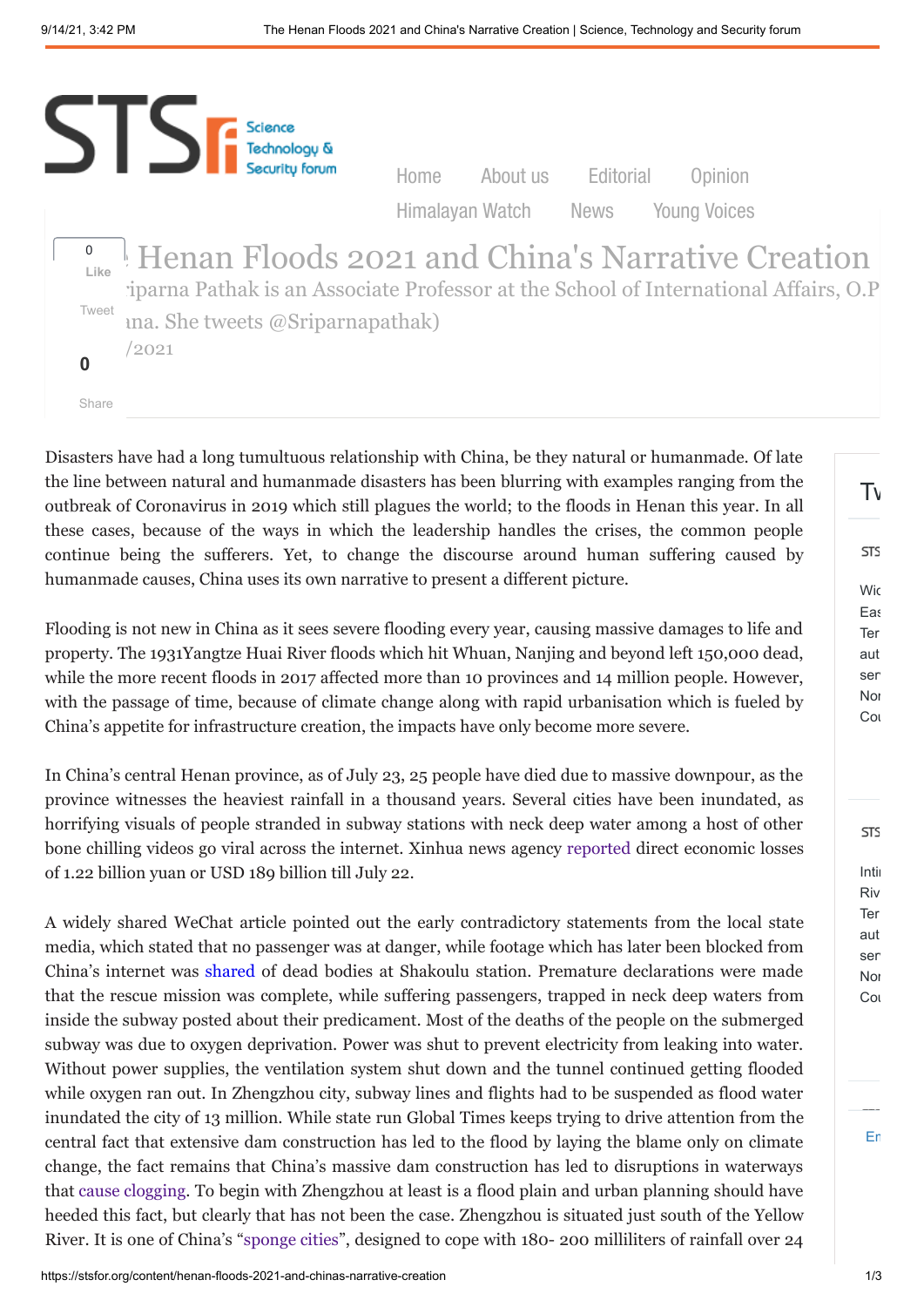

Disasters have had a long tumultuous relationship with China, be they natural or humanmade. Of late the line between natural and humanmade disasters has been blurring with examples ranging from the outbreak of Coronavirus in 2019 which still plagues the world; to the floods in Henan this year. In all these cases, because of the ways in which the leadership handles the crises, the common people continue being the sufferers. Yet, to change the discourse around human suffering caused by humanmade causes, China uses its own narrative to present a different picture.

Flooding is not new in China as it sees severe flooding every year, causing massive damages to life and property. The 1931Yangtze Huai River floods which hit Whuan, Nanjing and beyond left 150,000 dead, while the more recent floods in 2017 affected more than 10 provinces and 14 million people. However, with the passage of time, because of climate change along with rapid urbanisation which is fueled by China's appetite for infrastructure creation, the impacts have only become more severe.

In China's central Henan province, as of July 23, 25 people have died due to massive downpour, as the province witnesses the heaviest rainfall in a thousand years. Several cities have been inundated, as horrifying visuals of people stranded in subway stations with neck deep water among a host of other bone chilling videos go viral across the internet. Xinhua news agency [reported](https://www.hindustantimes.com/world-news/china-floods-death-toll-33-economic-loss-closing-on-200mn-101626956819468.html) direct economic losses of 1.22 billion yuan or USD 189 billion till July 22.

A widely shared WeChat article pointed out the early contradictory statements from the local state media, which stated that no passenger was at danger, while footage which has later been blocked from China's internet was [shared](https://web.archive.org/web/20210721013015/https:/mp.weixin.qq.com/s/C-DmkqL9qSxT8bllA5brBw) of dead bodies at Shakoulu station. Premature declarations were made that the rescue mission was complete, while suffering passengers, trapped in neck deep waters from inside the subway posted about their predicament. Most of the deaths of the people on the submerged subway was due to oxygen deprivation. Power was shut to prevent electricity from leaking into water. Without power supplies, the ventilation system shut down and the tunnel continued getting flooded while oxygen ran out. In Zhengzhou city, subway lines and flights had to be suspended as flood water inundated the city of 13 million. While state run Global Times keeps trying to drive attention from the central fact that extensive dam construction has led to the flood by laying the blame only on climate change, the fact remains that China's massive dam construction has led to disruptions in waterways that [cause clogging.](https://asia.nikkei.com/Economy/Natural-disasters/Deadly-floods-hit-central-China-as-military-warns-of-dam-collapse) To begin with Zhengzhou at least is a flood plain and urban planning should have heeded this fact, but clearly that has not been the case. Zhengzhou is situated just south of the Yellow River. It is one of China's ["sponge cities](https://www.reuters.com/world/china/zhengzhou-floods-serve-chinas-urban-planners-deadly-warning-2021-07-23/)", designed to cope with 180- 200 milliliters of rainfall over 24

[Em](https://publish.twitter.com/?url=https%3A%2F%2Ftwitter.com%2Fsts_forum)

Intim Riv Ter aut ser **Nor** Cou

**STS** 

 $T_{\rm V}$ 

Wic **Eas** Ter aut ser **Nor** Cou

**STS**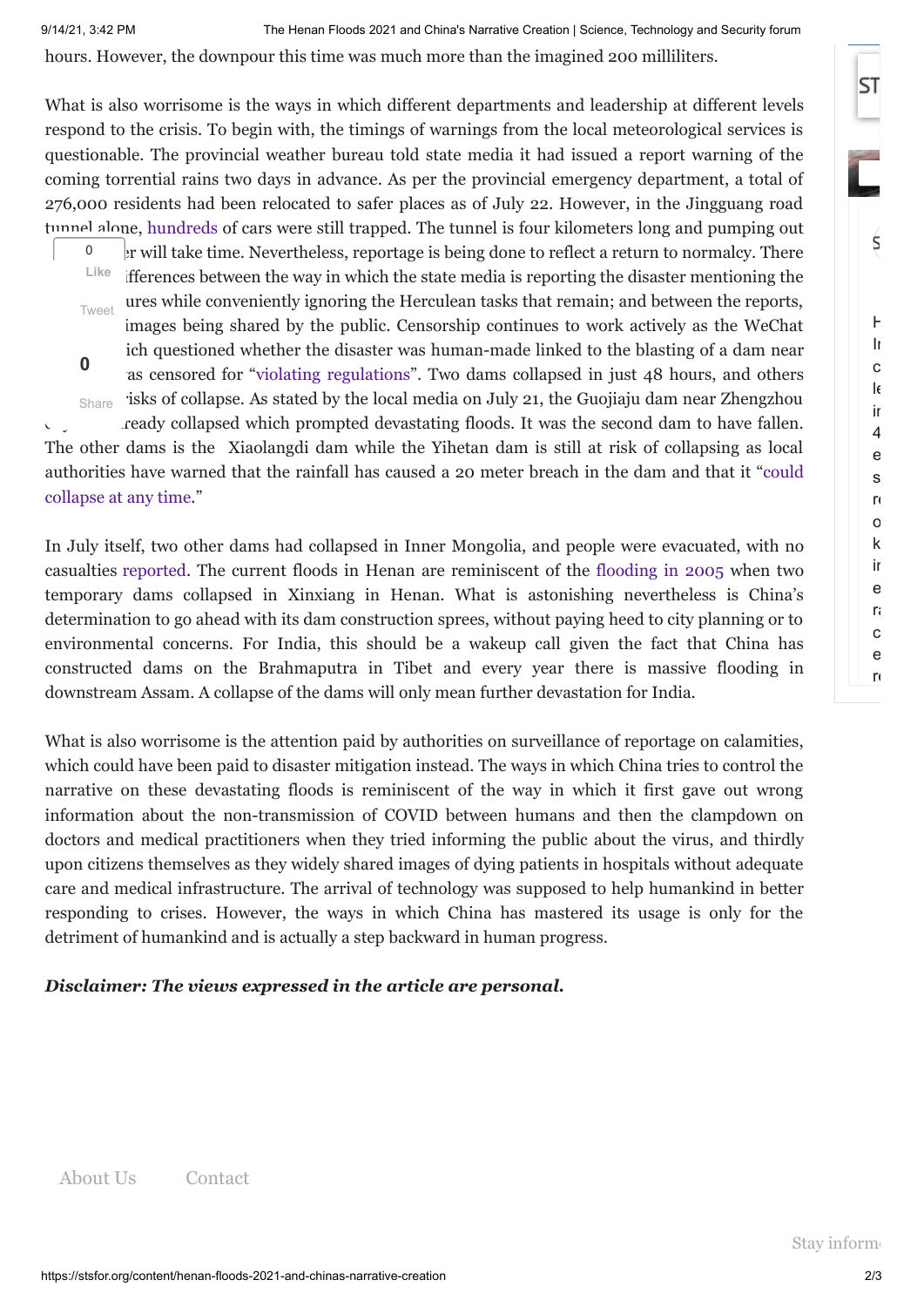hours. However, the downpour this time was much more than the imagined 200 milliliters.

What is also worrisome is the ways in which different departments and leadership at different levels respond to the crisis. To begin with, the timings of warnings from the local meteorological services is questionable. The provincial weather bureau told state media it had issued a report warning of the coming torrential rains two days in advance. As per the provincial emergency department, a total of 276,000 residents had been relocated to safer places as of July 22. However, in the Jingguang road tunnel alone, [hundreds](https://twitter.com/fangshimin/status/1418356087187644419) of cars were still trapped. The tunnel is four kilometers long and pumping out at will take time. Nevertheless, reportage is being done to reflect a return to normalcy. There Ifferences between the way in which the state media is reporting the disaster mentioning the 0 **Like**

ures while conveniently ignoring the Herculean tasks that remain; and between the reports, images being shared by the public. Censorship continues to work actively as the WeChat ich questioned whether the disaster was human-made linked to the blasting of a dam near as censored for "violating [regulations"](https://www.theguardian.com/world/2021/jul/22/china-floods-military-blasts-dam-release-water-as-floods-death-toll-climbs). Two dams collapsed in just 48 hours, and others  $S<sub>hare</sub>$  isks of collapse. As stated by the local media on July 21, the Guojiaju dam near Zhengzhou ready collapsed which prompted devastating floods. It was the second dam to have fallen. The other dams is the Xiaolangdi dam while the Yihetan dam is still at risk of collapsing as local [authorities have warned](https://www.hindustantimes.com/world-news/dozen-killed-in-china-s-henan-after-heavy-rainfall-dam-collapse-risk-looms-101626830236072.html) that the rainfall has caused a 20 meter breach in the dam and that it "could collapse at any time." **0** Tweet

In July itself, two other dams had collapsed in Inner Mongolia, and people were evacuated, with no casualties [reported](https://www.wionews.com/world/dams-collapse-in-chinas-inner-mongolia-amid-heavy-rain-399058). The current floods in Henan are reminiscent of the [flooding](https://reliefweb.int/report/china/flood-under-control-after-dam-collapse-along-yellow-river) in 2005 when two temporary dams collapsed in Xinxiang in Henan. What is astonishing nevertheless is China's determination to go ahead with its dam construction sprees, without paying heed to city planning or to environmental concerns. For India, this should be a wakeup call given the fact that China has constructed dams on the Brahmaputra in Tibet and every year there is massive flooding in downstream Assam. A collapse of the dams will only mean further devastation for India.

What is also worrisome is the attention paid by authorities on surveillance of reportage on calamities, which could have been paid to disaster mitigation instead. The ways in which China tries to control the narrative on these devastating floods is reminiscent of the way in which it first gave out wrong information about the non-transmission of COVID between humans and then the clampdown on doctors and medical practitioners when they tried informing the public about the virus, and thirdly upon citizens themselves as they widely shared images of dying patients in hospitals without adequate care and medical infrastructure. The arrival of technology was supposed to help humankind in better responding to crises. However, the ways in which China has mastered its usage is only for the detriment of humankind and is actually a step backward in human progress.

## *Disclaimer: The views expressed in the article are personal.*

[About Us](https://stsfor.org/content/about-us) [Contact](https://stsfor.org/contact)

 $\mathsf{H}$ Im c le in 4 e s re o k im e r: c e r<sub>e</sub>

Ś

**ST**